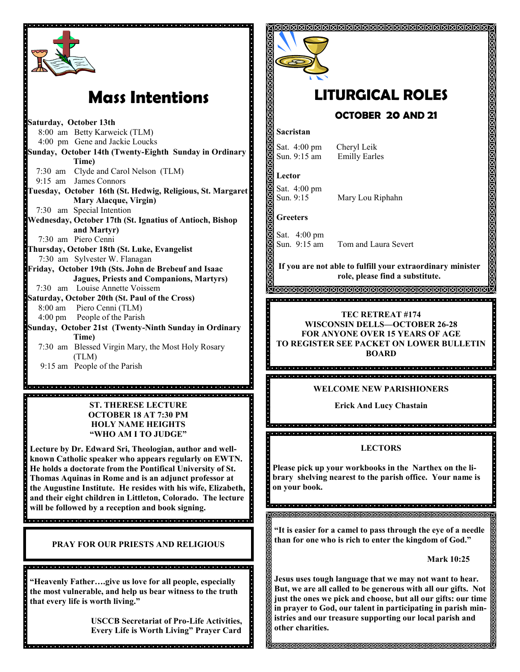

# **Mass Intentions**

**Saturday, October 13th** 8:00 am Betty Karweick (TLM) 4:00 pm Gene and Jackie Loucks **Sunday, October 14th (Twenty-Eighth Sunday in Ordinary Time)** 7:30 am Clyde and Carol Nelson (TLM) 9:15 am James Connors **Tuesday, October 16th (St. Hedwig, Religious, St. Margaret Mary Alacque, Virgin)** 7:30 am Special Intention **Wednesday, October 17th (St. Ignatius of Antioch, Bishop and Martyr)** 7:30 am Piero Cenni **Thursday, October 18th (St. Luke, Evangelist** 7:30 am Sylvester W. Flanagan **Friday, October 19th (Sts. John de Brebeuf and Isaac Jagues, Priests and Companions, Martyrs)** 7:30 am Louise Annette Voissem **Saturday, October 20th (St. Paul of the Cross)**<br>**B** 8:00 am Piero Cenni (TLM) Piero Cenni (TLM) 4:00 pm People of the Parish **Sunday, October 21st (Twenty-Ninth Sunday in Ordinary Time)**  7:30 am Blessed Virgin Mary, the Most Holy Rosary (TLM) 9:15 am People of the Parish

**ST. THERESE LECTURE OCTOBER 18 AT 7:30 PM HOLY NAME HEIGHTS "WHO AM I TO JUDGE"**

Aranan sa sa sa tanta ni shi a kasar sa tanta na kasar sa sa ta a sa tanta na kasar sa tanta na kasa

**Lecture by Dr. Edward Sri, Theologian, author and wellknown Catholic speaker who appears regularly on EWTN. He holds a doctorate from the Pontifical University of St. Thomas Aquinas in Rome and is an adjunct professor at the Augustine Institute. He resides with his wife, Elizabeth, and their eight children in Littleton, Colorado. The lecture will be followed by a reception and book signing.**

**PRAY FOR OUR PRIESTS AND RELIGIOUS**

**"Heavenly Father….give us love for all people, especially the most vulnerable, and help us bear witness to the truth that every life is worth living."**

, a que a que a que a que e que a que a que a que a que a que a que a que a que a que a que a que

**USCCB Secretariat of Pro-Life Activities, Every Life is Worth Living" Prayer Card**



# **LITURGICAL ROLES OCTOBER 20 AND 21**

#### **Sacristan**

Sat. 4:00 pm Cheryl Leik Sun. 9:15 am Emilly Earles

**Lector**

Sat. 4:00 pm<br>Sun. 9:15 Mary Lou Riphahn

**Greeters**

Sat. 4:00 pm

Sun. 9:15 am Tom and Laura Severt

**If you are not able to fulfill your extraordinary minister role, please find a substitute.** 

#### **TEC RETREAT #174 WISCONSIN DELLS—OCTOBER 26-28 FOR ANYONE OVER 15 YEARS OF AGE TO REGISTER SEE PACKET ON LOWER BULLETIN BOARD**

**WELCOME NEW PARISHIONERS**

**Erick And Lucy Chastain** 

**LECTORS**

**Please pick up your workbooks in the Narthex on the library shelving nearest to the parish office. Your name is on your book.** 

**"It is easier for a camel to pass through the eye of a needle than for one who is rich to enter the kingdom of God."**

**Mark 10:25**

**Jesus uses tough language that we may not want to hear. But, we are all called to be generous with all our gifts. Not just the ones we pick and choose, but all our gifts: our time in prayer to God, our talent in participating in parish ministries and our treasure supporting our local parish and other charities.** 

**MARAMANANANANANANANANANAN**